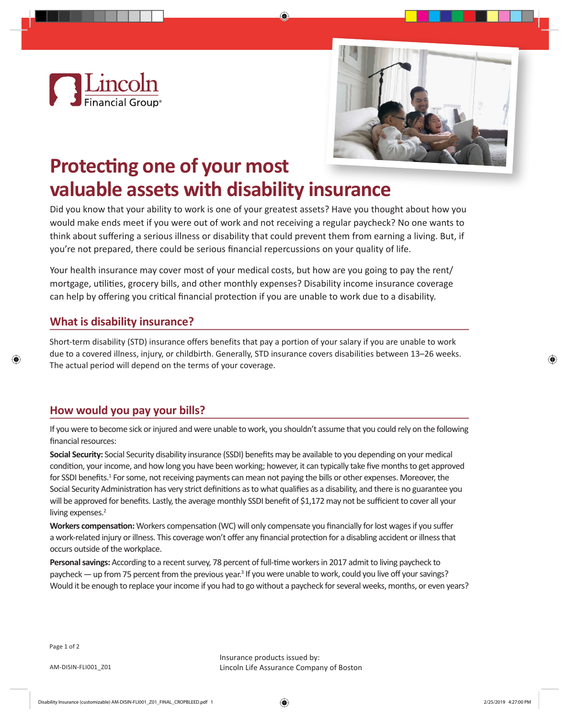



# **Protecting one of your most valuable assets with disability insurance**

Did you know that your ability to work is one of your greatest assets? Have you thought about how you would make ends meet if you were out of work and not receiving a regular paycheck? No one wants to think about suffering a serious illness or disability that could prevent them from earning a living. But, if you're not prepared, there could be serious financial repercussions on your quality of life.

Your health insurance may cover most of your medical costs, but how are you going to pay the rent/ mortgage, utilities, grocery bills, and other monthly expenses? Disability income insurance coverage can help by offering you critical financial protection if you are unable to work due to a disability.

## **What is disability insurance?**

Short-term disability (STD) insurance offers benefits that pay a portion of your salary if you are unable to work due to a covered illness, injury, or childbirth. Generally, STD insurance covers disabilities between 13–26 weeks. The actual period will depend on the terms of your coverage.

## **How would you pay your bills?**

If you were to become sick or injured and were unable to work, you shouldn't assume that you could rely on the following financial resources:

**Social Security:** Social Security disability insurance (SSDI) benefits may be available to you depending on your medical condition, your income, and how long you have been working; however, it can typically take five months to get approved for SSDI benefits.<sup>1</sup> For some, not receiving payments can mean not paying the bills or other expenses. Moreover, the Social Security Administration has very strict definitions as to what qualifies as a disability, and there is no guarantee you will be approved for benefits. Lastly, the average monthly SSDI benefit of \$1,172 may not be sufficient to cover all your living expenses.<sup>2</sup>

**Workers compensation:** Workers compensation (WC) will only compensate you financially for lost wages if you suffer a work-related injury or illness. This coverage won't offer any financial protection for a disabling accident or illness that occurs outside of the workplace.

**Personal savings:** According to a recent survey, 78 percent of full-time workers in 2017 admit to living paycheck to paycheck — up from 75 percent from the previous year.<sup>3</sup> If you were unable to work, could you live off your savings? Would it be enough to replace your income if you had to go without a paycheck for several weeks, months, or even years?